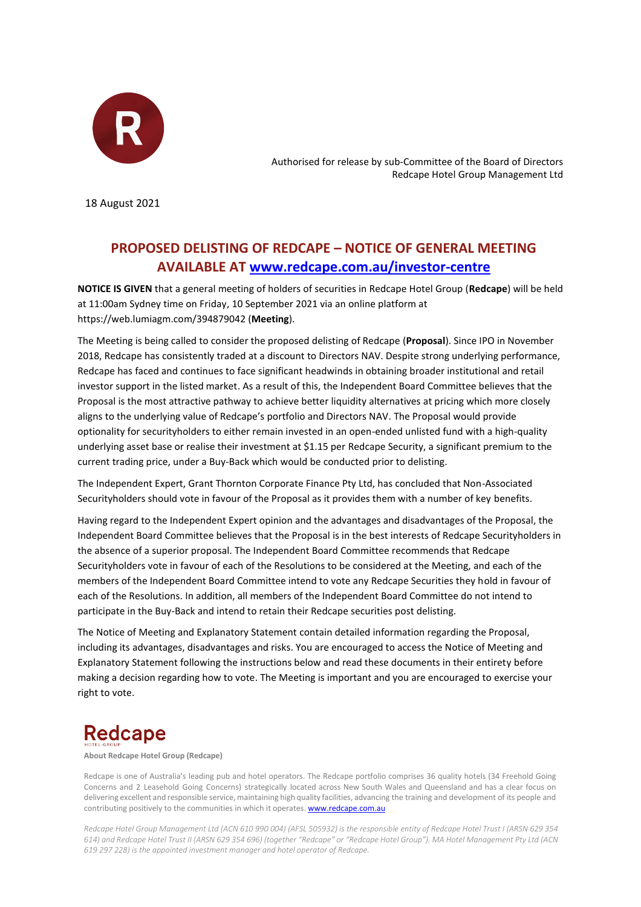

Authorised for release by sub-Committee of the Board of Directors Redcape Hotel Group Management Ltd

18 August 2021

# **PROPOSED DELISTING OF REDCAPE – NOTICE OF GENERAL MEETING AVAILABLE AT www.redcape.com.au/investor-centre**

**NOTICE IS GIVEN** that a general meeting of holders of securities in Redcape Hotel Group (**Redcape**) will be held at 11:00am Sydney time on Friday, 10 September 2021 via an online platform at https://web.lumiagm.com/394879042 (**Meeting**).

The Meeting is being called to consider the proposed delisting of Redcape (**Proposal**). Since IPO in November 2018, Redcape has consistently traded at a discount to Directors NAV. Despite strong underlying performance, Redcape has faced and continues to face significant headwinds in obtaining broader institutional and retail investor support in the listed market. As a result of this, the Independent Board Committee believes that the Proposal is the most attractive pathway to achieve better liquidity alternatives at pricing which more closely aligns to the underlying value of Redcape's portfolio and Directors NAV. The Proposal would provide optionality for securityholders to either remain invested in an open-ended unlisted fund with a high-quality underlying asset base or realise their investment at \$1.15 per Redcape Security, a significant premium to the current trading price, under a Buy-Back which would be conducted prior to delisting.

The Independent Expert, Grant Thornton Corporate Finance Pty Ltd, has concluded that Non-Associated Securityholders should vote in favour of the Proposal as it provides them with a number of key benefits.

Having regard to the Independent Expert opinion and the advantages and disadvantages of the Proposal, the Independent Board Committee believes that the Proposal is in the best interests of Redcape Securityholders in the absence of a superior proposal. The Independent Board Committee recommends that Redcape Securityholders vote in favour of each of the Resolutions to be considered at the Meeting, and each of the members of the Independent Board Committee intend to vote any Redcape Securities they hold in favour of each of the Resolutions. In addition, all members of the Independent Board Committee do not intend to participate in the Buy-Back and intend to retain their Redcape securities post delisting.

The Notice of Meeting and Explanatory Statement contain detailed information regarding the Proposal, including its advantages, disadvantages and risks. You are encouraged to access the Notice of Meeting and Explanatory Statement following the instructions below and read these documents in their entirety before making a decision regarding how to vote. The Meeting is important and you are encouraged to exercise your right to vote.

# **Redcape**

**About Redcape Hotel Group (Redcape)**

Redcape is one of Australia's leading pub and hotel operators. The Redcape portfolio comprises 36 quality hotels (34 Freehold Going Concerns and 2 Leasehold Going Concerns) strategically located across New South Wales and Queensland and has a clear focus on delivering excellent and responsible service, maintaining high quality facilities, advancing the training and development of its people and contributing positively to the communities in which it operates[. www.redcape.com.au](http://www.redcape.com.au/)

*Redcape Hotel Group Management Ltd (ACN 610 990 004) (AFSL 505932) is the responsible entity of Redcape Hotel Trust I (ARSN 629 354 614) and Redcape Hotel Trust II (ARSN 629 354 696) (together "Redcape" or "Redcape Hotel Group"). MA Hotel Management Pty Ltd (ACN 619 297 228) is the appointed investment manager and hotel operator of Redcape.*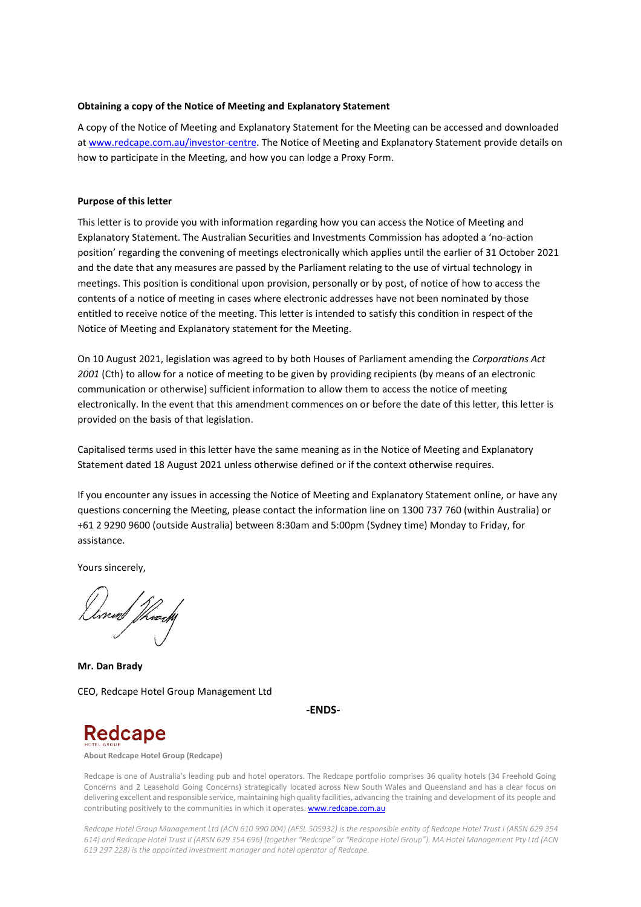## **Obtaining a copy of the Notice of Meeting and Explanatory Statement**

A copy of the Notice of Meeting and Explanatory Statement for the Meeting can be accessed and downloaded at www.redcape.com.au/investor-centre. The Notice of Meeting and Explanatory Statement provide details on how to participate in the Meeting, and how you can lodge a Proxy Form.

### **Purpose of this letter**

This letter is to provide you with information regarding how you can access the Notice of Meeting and Explanatory Statement. The Australian Securities and Investments Commission has adopted a 'no-action position' regarding the convening of meetings electronically which applies until the earlier of 31 October 2021 and the date that any measures are passed by the Parliament relating to the use of virtual technology in meetings. This position is conditional upon provision, personally or by post, of notice of how to access the contents of a notice of meeting in cases where electronic addresses have not been nominated by those entitled to receive notice of the meeting. This letter is intended to satisfy this condition in respect of the Notice of Meeting and Explanatory statement for the Meeting.

On 10 August 2021, legislation was agreed to by both Houses of Parliament amending the *Corporations Act 2001* (Cth) to allow for a notice of meeting to be given by providing recipients (by means of an electronic communication or otherwise) sufficient information to allow them to access the notice of meeting electronically. In the event that this amendment commences on or before the date of this letter, this letter is provided on the basis of that legislation.

Capitalised terms used in this letter have the same meaning as in the Notice of Meeting and Explanatory Statement dated 18 August 2021 unless otherwise defined or if the context otherwise requires.

If you encounter any issues in accessing the Notice of Meeting and Explanatory Statement online, or have any questions concerning the Meeting, please contact the information line on 1300 737 760 (within Australia) or +61 2 9290 9600 (outside Australia) between 8:30am and 5:00pm (Sydney time) Monday to Friday, for assistance.

Yours sincerely,

{nm//f/weedh

**Mr. Dan Brady** CEO, Redcape Hotel Group Management Ltd

**-ENDS-** 



**About Redcape Hotel Group (Redcape)**

Redcape is one of Australia's leading pub and hotel operators. The Redcape portfolio comprises 36 quality hotels (34 Freehold Going Concerns and 2 Leasehold Going Concerns) strategically located across New South Wales and Queensland and has a clear focus on delivering excellent and responsible service, maintaining high quality facilities, advancing the training and development of its people and contributing positively to the communities in which it operates[. www.redcape.com.au](http://www.redcape.com.au/)

*Redcape Hotel Group Management Ltd (ACN 610 990 004) (AFSL 505932) is the responsible entity of Redcape Hotel Trust I (ARSN 629 354 614) and Redcape Hotel Trust II (ARSN 629 354 696) (together "Redcape" or "Redcape Hotel Group"). MA Hotel Management Pty Ltd (ACN 619 297 228) is the appointed investment manager and hotel operator of Redcape.*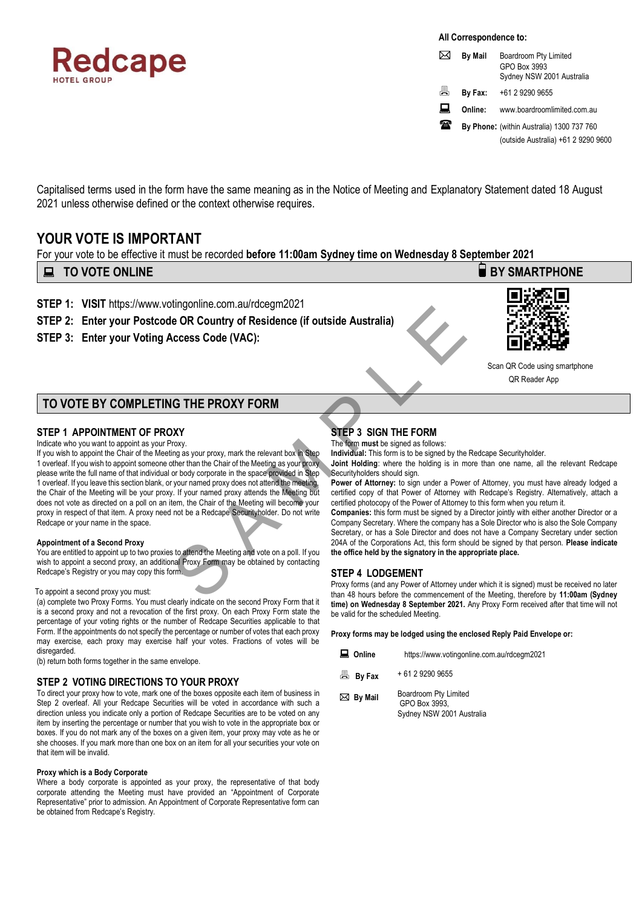

**All Correspondence to:**

|   | <b>By Mail</b>                         | Boardroom Pty Limited<br>GPO Box 3993<br>Sydney NSW 2001 Australia |  |
|---|----------------------------------------|--------------------------------------------------------------------|--|
| 昌 | By Fax:                                | +61 2 9290 9655                                                    |  |
| 口 | Online:<br>www.boardroomlimited.com.au |                                                                    |  |
| æ |                                        | By Phone: (within Australia) 1300 737 760                          |  |
|   |                                        | (outside Australia) +61 2 9290 9600                                |  |

Capitalised terms used in the form have the same meaning as in the Notice of Meeting and Explanatory Statement dated 18 August 2021 unless otherwise defined or the context otherwise requires.

# **YOUR VOTE IS IMPORTANT**

For your vote to be effective it must be recorded **before 11:00am Sydney time on Wednesday 8 September 2021**

# **EXECUTE ONLINE BY SMARTPHONE**

- **STEP 1: VISIT** https://www.votingonline.com.au/rdcegm2021
- **STEP 2: Enter your Postcode OR Country of Residence (if outside Australia)**
- **STEP 3: Enter your Voting Access Code (VAC):**



 Scan QR Code using smartphone OR Reader Ann

# **TO VOTE BY COMPLETING THE PROXY FORM**

## **STEP 1 APPOINTMENT OF PROXY**

Indicate who you want to appoint as your Proxy.

If you wish to appoint the Chair of the Meeting as your proxy, mark the relevant box in Step 1 overleaf. If you wish to appoint someone other than the Chair of the Meeting as your proxy please write the full name of that individual or body corporate in the space provided in Step 1 overleaf. If you leave this section blank, or your named proxy does not attend the meeting, the Chair of the Meeting will be your proxy. If your named proxy attends the Meeting but does not vote as directed on a poll on an item, the Chair of the Meeting will become your proxy in respect of that item. A proxy need not be a Redcape Securityholder. Do not write Redcape or your name in the space. The Country of Residence (if outside Australia)<br>
SEEP 4 LODGEMENT<br>
Many From the company behavior of the control of the control of the control of the control<br>
SEEP 3 SIGN THE FORM<br>
SEEP 3 SIGN THE FORM<br>
The form must be si

#### **Appointment of a Second Proxy**

You are entitled to appoint up to two proxies to attend the Meeting and vote on a poll. If you wish to appoint a second proxy, an additional Proxy Form may be obtained by contacting Redcape's Registry or you may copy this form.

#### To appoint a second proxy you must:

(a) complete two Proxy Forms. You must clearly indicate on the second Proxy Form that it is a second proxy and not a revocation of the first proxy. On each Proxy Form state the percentage of your voting rights or the number of Redcape Securities applicable to that Form. If the appointments do not specify the percentage or number of votes that each proxy may exercise, each proxy may exercise half your votes. Fractions of votes will be disregarded.

(b) return both forms together in the same envelope.

## **STEP 2 VOTING DIRECTIONS TO YOUR PROXY**

To direct your proxy how to vote, mark one of the boxes opposite each item of business in Step 2 overleaf. All your Redcape Securities will be voted in accordance with such a direction unless you indicate only a portion of Redcape Securities are to be voted on any item by inserting the percentage or number that you wish to vote in the appropriate box or boxes. If you do not mark any of the boxes on a given item, your proxy may vote as he or she chooses. If you mark more than one box on an item for all your securities your vote on that item will be invalid.

#### **Proxy which is a Body Corporate**

Where a body corporate is appointed as your proxy, the representative of that body corporate attending the Meeting must have provided an "Appointment of Corporate Representative" prior to admission. An Appointment of Corporate Representative form can be obtained from Redcape's Registry.

# **STEP 3 SIGN THE FORM**

The form **must** be signed as follows:

**Individual:** This form is to be signed by the Redcape Securityholder.

**Joint Holding**: where the holding is in more than one name, all the relevant Redcape Securityholders should sign.

Power of Attorney: to sign under a Power of Attorney, you must have already lodged a certified copy of that Power of Attorney with Redcape's Registry. Alternatively, attach a certified photocopy of the Power of Attorney to this form when you return it.

**Companies:** this form must be signed by a Director jointly with either another Director or a Company Secretary. Where the company has a Sole Director who is also the Sole Company Secretary, or has a Sole Director and does not have a Company Secretary under section 204A of the Corporations Act, this form should be signed by that person. **Please indicate the office held by the signatory in the appropriate place.**

## **STEP 4 LODGEMENT**

Proxy forms (and any Power of Attorney under which it is signed) must be received no later than 48 hours before the commencement of the Meeting, therefore by **11:00am (Sydney time) on Wednesday 8 September 2021.** Any Proxy Form received after that time will not be valid for the scheduled Meeting.

**Proxy forms may be lodged using the enclosed Reply Paid Envelope or:**

|  | $\Box$ Online | https://www.votingonline.com.au/rdcegm2021 |
|--|---------------|--------------------------------------------|
|--|---------------|--------------------------------------------|

- **By Fax**  + 61 2 9290 9655
- **By Mail** Boardroom Pty Limited GPO Box 3993, Sydney NSW 2001 Australia